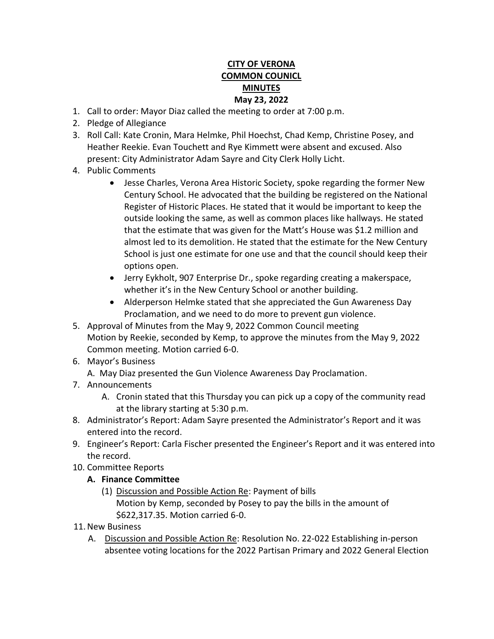## **CITY OF VERONA COMMON COUNICL MINUTES May 23, 2022**

- 1. Call to order: Mayor Diaz called the meeting to order at 7:00 p.m.
- 2. Pledge of Allegiance
- 3. Roll Call: Kate Cronin, Mara Helmke, Phil Hoechst, Chad Kemp, Christine Posey, and Heather Reekie. Evan Touchett and Rye Kimmett were absent and excused. Also present: City Administrator Adam Sayre and City Clerk Holly Licht.
- 4. Public Comments
	- Jesse Charles, Verona Area Historic Society, spoke regarding the former New Century School. He advocated that the building be registered on the National Register of Historic Places. He stated that it would be important to keep the outside looking the same, as well as common places like hallways. He stated that the estimate that was given for the Matt's House was \$1.2 million and almost led to its demolition. He stated that the estimate for the New Century School is just one estimate for one use and that the council should keep their options open.
	- Jerry Eykholt, 907 Enterprise Dr., spoke regarding creating a makerspace, whether it's in the New Century School or another building.
	- Alderperson Helmke stated that she appreciated the Gun Awareness Day Proclamation, and we need to do more to prevent gun violence.
- 5. Approval of Minutes from the May 9, 2022 Common Council meeting Motion by Reekie, seconded by Kemp, to approve the minutes from the May 9, 2022 Common meeting. Motion carried 6-0.
- 6. Mayor's Business
	- A. May Diaz presented the Gun Violence Awareness Day Proclamation.
- 7. Announcements
	- A. Cronin stated that this Thursday you can pick up a copy of the community read at the library starting at 5:30 p.m.
- 8. Administrator's Report: Adam Sayre presented the Administrator's Report and it was entered into the record.
- 9. Engineer's Report: Carla Fischer presented the Engineer's Report and it was entered into the record.
- 10. Committee Reports
	- **A. Finance Committee**
		- (1) Discussion and Possible Action Re: Payment of bills Motion by Kemp, seconded by Posey to pay the bills in the amount of \$622,317.35. Motion carried 6-0.
- 11.New Business
	- A. Discussion and Possible Action Re: Resolution No. 22-022 Establishing in-person absentee voting locations for the 2022 Partisan Primary and 2022 General Election